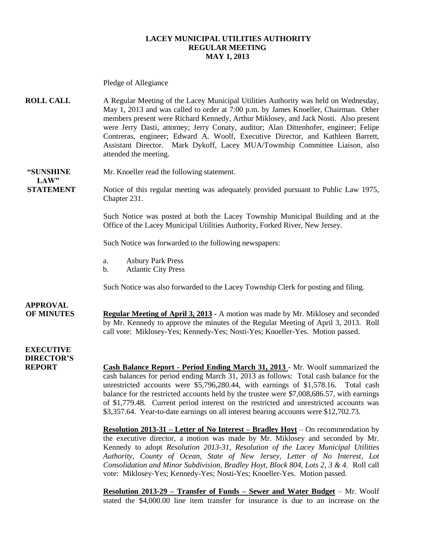#### **LACEY MUNICIPAL UTILITIES AUTHORITY REGULAR MEETING MAY 1, 2013**

Pledge of Allegiance **ROLL CALL** A Regular Meeting of the Lacey Municipal Utilities Authority was held on Wednesday, May 1, 2013 and was called to order at 7:00 p.m. by James Knoeller, Chairman. Other members present were Richard Kennedy, Arthur Miklosey, and Jack Nosti. Also present were Jerry Dasti, attorney; Jerry Conaty, auditor; Alan Dittenhofer, engineer; Felipe Contreras, engineer; Edward A. Woolf, Executive Director, and Kathleen Barrett, Assistant Director. Mark Dykoff, Lacey MUA/Township Committee Liaison, also attended the meeting. **"SUNSHINE** Mr. Knoeller read the following statement.  $LAW"$ **STATEMENT** Notice of this regular meeting was adequately provided pursuant to Public Law 1975, Chapter 231. Such Notice was posted at both the Lacey Township Municipal Building and at the Office of the Lacey Municipal Utilities Authority, Forked River, New Jersey. Such Notice was forwarded to the following newspapers: a. Asbury Park Press b. Atlantic City Press Such Notice was also forwarded to the Lacey Township Clerk for posting and filing. **APPROVAL OF MINUTES Regular Meeting of April 3, 2013 -** A motion was made by Mr. Miklosey and seconded by Mr. Kennedy to approve the minutes of the Regular Meeting of April 3, 2013. Roll call vote: Miklosey-Yes; Kennedy-Yes; Nosti-Yes; Knoeller-Yes. Motion passed. **EXECUTIVE DIRECTOR'S REPORT Cash Balance Report - Period Ending March 31, 2013** - Mr. Woolf summarized the cash balances for period ending March 31, 2013 as follows: Total cash balance for the unrestricted accounts were \$5,796,280.44, with earnings of \$1,578.16. Total cash balance for the restricted accounts held by the trustee were \$7,008,686.57, with earnings of \$1,779.48. Current period interest on the restricted and unrestricted accounts was \$3,357.64. Year-to-date earnings on all interest bearing accounts were \$12,702.73. **Resolution 2013-31 – Letter of No Interest – Bradley Hoyt** – On recommendation by the executive director, a motion was made by Mr. Miklosey and seconded by Mr. Kennedy to adopt *Resolution 2013-31, Resolution of the Lacey Municipal Utilities Authority, County of Ocean, State of New Jersey, Letter of No Interest, Lot Consolidation and Minor Subdivision, Bradley Hoyt, Block 804, Lots 2, 3 & 4.* Roll call vote: Miklosey-Yes; Kennedy-Yes; Nosti-Yes; Knoeller-Yes. Motion passed. **Resolution 2013-29 – Transfer of Funds – Sewer and Water Budget** – Mr. Woolf

stated the \$4,000.00 line item transfer for insurance is due to an increase on the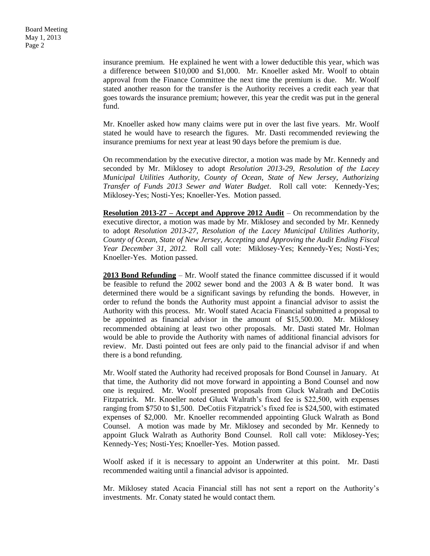insurance premium. He explained he went with a lower deductible this year, which was a difference between \$10,000 and \$1,000. Mr. Knoeller asked Mr. Woolf to obtain approval from the Finance Committee the next time the premium is due. Mr. Woolf stated another reason for the transfer is the Authority receives a credit each year that goes towards the insurance premium; however, this year the credit was put in the general fund.

Mr. Knoeller asked how many claims were put in over the last five years. Mr. Woolf stated he would have to research the figures. Mr. Dasti recommended reviewing the insurance premiums for next year at least 90 days before the premium is due.

On recommendation by the executive director, a motion was made by Mr. Kennedy and seconded by Mr. Miklosey to adopt *Resolution 2013-29, Resolution of the Lacey Municipal Utilities Authority, County of Ocean, State of New Jersey, Authorizing Transfer of Funds 2013 Sewer and Water Budget*. Roll call vote: Kennedy-Yes; Miklosey-Yes; Nosti-Yes; Knoeller-Yes. Motion passed.

**Resolution 2013-27 – Accept and Approve 2012 Audit** – On recommendation by the executive director, a motion was made by Mr. Miklosey and seconded by Mr. Kennedy to adopt *Resolution 2013-27, Resolution of the Lacey Municipal Utilities Authority, County of Ocean, State of New Jersey, Accepting and Approving the Audit Ending Fiscal Year December 31, 2012.* Roll call vote: Miklosey-Yes; Kennedy-Yes; Nosti-Yes; Knoeller-Yes. Motion passed.

**2013 Bond Refunding** – Mr. Woolf stated the finance committee discussed if it would be feasible to refund the 2002 sewer bond and the 2003 A & B water bond. It was determined there would be a significant savings by refunding the bonds. However, in order to refund the bonds the Authority must appoint a financial advisor to assist the Authority with this process. Mr. Woolf stated Acacia Financial submitted a proposal to be appointed as financial advisor in the amount of \$15,500.00. Mr. Miklosey recommended obtaining at least two other proposals. Mr. Dasti stated Mr. Holman would be able to provide the Authority with names of additional financial advisors for review. Mr. Dasti pointed out fees are only paid to the financial advisor if and when there is a bond refunding.

Mr. Woolf stated the Authority had received proposals for Bond Counsel in January. At that time, the Authority did not move forward in appointing a Bond Counsel and now one is required. Mr. Woolf presented proposals from Gluck Walrath and DeCotiis Fitzpatrick. Mr. Knoeller noted Gluck Walrath's fixed fee is \$22,500, with expenses ranging from \$750 to \$1,500. DeCotiis Fitzpatrick's fixed fee is \$24,500, with estimated expenses of \$2,000. Mr. Knoeller recommended appointing Gluck Walrath as Bond Counsel. A motion was made by Mr. Miklosey and seconded by Mr. Kennedy to appoint Gluck Walrath as Authority Bond Counsel. Roll call vote: Miklosey-Yes; Kennedy-Yes; Nosti-Yes; Knoeller-Yes. Motion passed.

Woolf asked if it is necessary to appoint an Underwriter at this point. Mr. Dasti recommended waiting until a financial advisor is appointed.

Mr. Miklosey stated Acacia Financial still has not sent a report on the Authority's investments. Mr. Conaty stated he would contact them.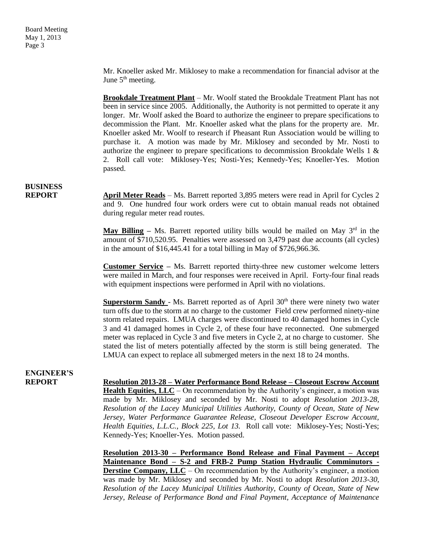Mr. Knoeller asked Mr. Miklosey to make a recommendation for financial advisor at the June  $5<sup>th</sup>$  meeting.

**Brookdale Treatment Plant** – Mr. Woolf stated the Brookdale Treatment Plant has not been in service since 2005. Additionally, the Authority is not permitted to operate it any longer. Mr. Woolf asked the Board to authorize the engineer to prepare specifications to decommission the Plant. Mr. Knoeller asked what the plans for the property are. Mr. Knoeller asked Mr. Woolf to research if Pheasant Run Association would be willing to purchase it. A motion was made by Mr. Miklosey and seconded by Mr. Nosti to authorize the engineer to prepare specifications to decommission Brookdale Wells 1 & 2. Roll call vote: Miklosey-Yes; Nosti-Yes; Kennedy-Yes; Knoeller-Yes. Motion passed.

# **BUSINESS**

**REPORT April Meter Reads** – Ms. Barrett reported 3,895 meters were read in April for Cycles 2 and 9. One hundred four work orders were cut to obtain manual reads not obtained during regular meter read routes.

> **May Billing** – Ms. Barrett reported utility bills would be mailed on May  $3<sup>rd</sup>$  in the amount of \$710,520.95. Penalties were assessed on 3,479 past due accounts (all cycles) in the amount of \$16,445.41 for a total billing in May of \$726,966.36.

> **Customer Service –** Ms. Barrett reported thirty-three new customer welcome letters were mailed in March, and four responses were received in April. Forty-four final reads with equipment inspections were performed in April with no violations.

> **Superstorm Sandy** - Ms. Barrett reported as of April 30<sup>th</sup> there were ninety two water turn offs due to the storm at no charge to the customer Field crew performed ninety-nine storm related repairs. LMUA charges were discontinued to 40 damaged homes in Cycle 3 and 41 damaged homes in Cycle 2, of these four have reconnected. One submerged meter was replaced in Cycle 3 and five meters in Cycle 2, at no charge to customer. She stated the list of meters potentially affected by the storm is still being generated. The LMUA can expect to replace all submerged meters in the next 18 to 24 months.

### **ENGINEER'S**

**REPORT Resolution 2013-28 – Water Performance Bond Release – Closeout Escrow Account Health Equities, LLC** – On recommendation by the Authority's engineer, a motion was made by Mr. Miklosey and seconded by Mr. Nosti to adopt *Resolution 2013-28, Resolution of the Lacey Municipal Utilities Authority, County of Ocean, State of New Jersey, Water Performance Guarantee Release, Closeout Developer Escrow Account, Health Equities, L.L.C., Block 225, Lot 13.* Roll call vote: Miklosey-Yes; Nosti-Yes; Kennedy-Yes; Knoeller-Yes. Motion passed.

> **Resolution 2013-30 – Performance Bond Release and Final Payment – Accept Maintenance Bond – S-2 and FRB-2 Pump Station Hydraulic Comminutors - Derstine Company, LLC** – On recommendation by the Authority's engineer, a motion was made by Mr. Miklosey and seconded by Mr. Nosti to adopt *Resolution 2013-30, Resolution of the Lacey Municipal Utilities Authority, County of Ocean, State of New Jersey, Release of Performance Bond and Final Payment, Acceptance of Maintenance*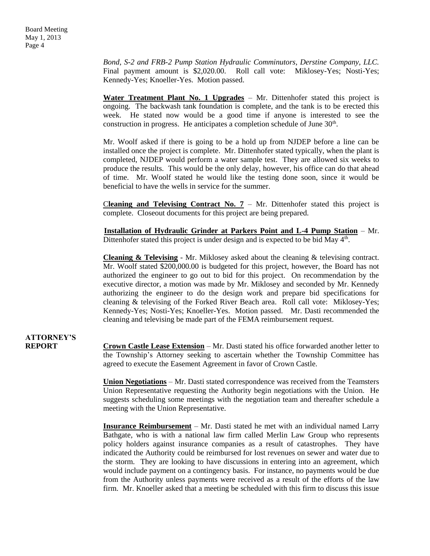*Bond, S-2 and FRB-2 Pump Station Hydraulic Comminutors, Derstine Company, LLC.*  Final payment amount is \$2,020.00. Roll call vote: Miklosey-Yes; Nosti-Yes; Kennedy-Yes; Knoeller-Yes. Motion passed.

**Water Treatment Plant No. 1 Upgrades** – Mr. Dittenhofer stated this project is ongoing. The backwash tank foundation is complete, and the tank is to be erected this week. He stated now would be a good time if anyone is interested to see the construction in progress. He anticipates a completion schedule of June 30<sup>th</sup>.

Mr. Woolf asked if there is going to be a hold up from NJDEP before a line can be installed once the project is complete. Mr. Dittenhofer stated typically, when the plant is completed, NJDEP would perform a water sample test. They are allowed six weeks to produce the results. This would be the only delay, however, his office can do that ahead of time. Mr. Woolf stated he would like the testing done soon, since it would be beneficial to have the wells in service for the summer.

**Cleaning and Televising Contract No. 7** – Mr. Dittenhofer stated this project is complete. Closeout documents for this project are being prepared.

 **Installation of Hydraulic Grinder at Parkers Point and L-4 Pump Station** – Mr. Dittenhofer stated this project is under design and is expected to be bid May  $4<sup>th</sup>$ .

**Cleaning & Televising** - Mr. Miklosey asked about the cleaning & televising contract. Mr. Woolf stated \$200,000.00 is budgeted for this project, however, the Board has not authorized the engineer to go out to bid for this project. On recommendation by the executive director, a motion was made by Mr. Miklosey and seconded by Mr. Kennedy authorizing the engineer to do the design work and prepare bid specifications for cleaning & televising of the Forked River Beach area. Roll call vote: Miklosey-Yes; Kennedy-Yes; Nosti-Yes; Knoeller-Yes. Motion passed. Mr. Dasti recommended the cleaning and televising be made part of the FEMA reimbursement request.

# **ATTORNEY'S**

**REPORT Crown Castle Lease Extension** – Mr. Dasti stated his office forwarded another letter to the Township's Attorney seeking to ascertain whether the Township Committee has agreed to execute the Easement Agreement in favor of Crown Castle.

> **Union Negotiations** – Mr. Dasti stated correspondence was received from the Teamsters Union Representative requesting the Authority begin negotiations with the Union. He suggests scheduling some meetings with the negotiation team and thereafter schedule a meeting with the Union Representative.

> **Insurance Reimbursement** – Mr. Dasti stated he met with an individual named Larry Bathgate, who is with a national law firm called Merlin Law Group who represents policy holders against insurance companies as a result of catastrophes. They have indicated the Authority could be reimbursed for lost revenues on sewer and water due to the storm. They are looking to have discussions in entering into an agreement, which would include payment on a contingency basis. For instance, no payments would be due from the Authority unless payments were received as a result of the efforts of the law firm. Mr. Knoeller asked that a meeting be scheduled with this firm to discuss this issue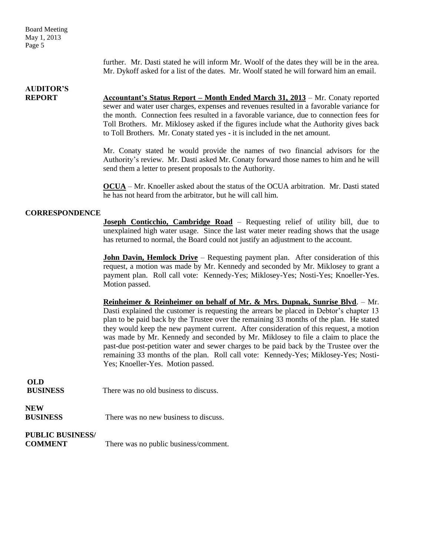Board Meeting May 1, 2013 Page 5

> further. Mr. Dasti stated he will inform Mr. Woolf of the dates they will be in the area. Mr. Dykoff asked for a list of the dates. Mr. Woolf stated he will forward him an email.

### **AUDITOR'S**

**REPORT Accountant's Status Report – Month Ended March 31, 2013** – Mr. Conaty reported sewer and water user charges, expenses and revenues resulted in a favorable variance for the month. Connection fees resulted in a favorable variance, due to connection fees for Toll Brothers. Mr. Miklosey asked if the figures include what the Authority gives back to Toll Brothers. Mr. Conaty stated yes - it is included in the net amount.

> Mr. Conaty stated he would provide the names of two financial advisors for the Authority's review. Mr. Dasti asked Mr. Conaty forward those names to him and he will send them a letter to present proposals to the Authority.

> **OCUA** – Mr. Knoeller asked about the status of the OCUA arbitration. Mr. Dasti stated he has not heard from the arbitrator, but he will call him.

### **CORRESPONDENCE**

**Joseph Conticchio, Cambridge Road** – Requesting relief of utility bill, due to unexplained high water usage. Since the last water meter reading shows that the usage has returned to normal, the Board could not justify an adjustment to the account.

**John Davin, Hemlock Drive** – Requesting payment plan. After consideration of this request, a motion was made by Mr. Kennedy and seconded by Mr. Miklosey to grant a payment plan. Roll call vote: Kennedy-Yes; Miklosey-Yes; Nosti-Yes; Knoeller-Yes. Motion passed.

**Reinheimer & Reinheimer on behalf of Mr. & Mrs. Dupnak, Sunrise Blvd**. – Mr. Dasti explained the customer is requesting the arrears be placed in Debtor's chapter 13 plan to be paid back by the Trustee over the remaining 33 months of the plan. He stated they would keep the new payment current. After consideration of this request, a motion was made by Mr. Kennedy and seconded by Mr. Miklosey to file a claim to place the past-due post-petition water and sewer charges to be paid back by the Trustee over the remaining 33 months of the plan. Roll call vote: Kennedy-Yes; Miklosey-Yes; Nosti-Yes; Knoeller-Yes. Motion passed.

| OLD<br><b>BUSINESS</b>                    | There was no old business to discuss. |
|-------------------------------------------|---------------------------------------|
| <b>NEW</b><br><b>BUSINESS</b>             | There was no new business to discuss. |
| <b>PUBLIC BUSINESS/</b><br><b>COMMENT</b> | There was no public business/comment. |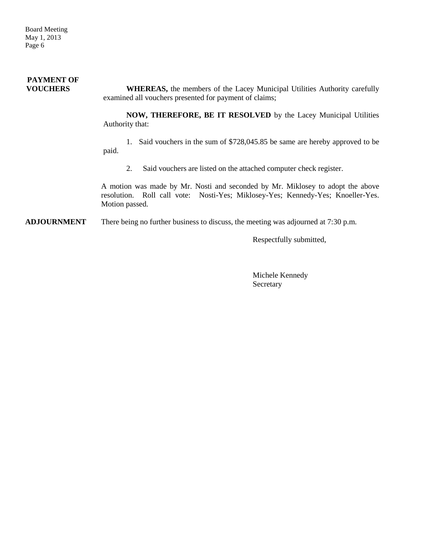### **PAYMENT OF VOUCHERS** WHEREAS, the members of the Lacey Municipal Utilities Authority carefully examined all vouchers presented for payment of claims;

**NOW, THEREFORE, BE IT RESOLVED** by the Lacey Municipal Utilities Authority that:

1. Said vouchers in the sum of \$728,045.85 be same are hereby approved to be paid.

2. Said vouchers are listed on the attached computer check register.

A motion was made by Mr. Nosti and seconded by Mr. Miklosey to adopt the above resolution. Roll call vote: Nosti-Yes; Miklosey-Yes; Kennedy-Yes; Knoeller-Yes. Motion passed.

**ADJOURNMENT** There being no further business to discuss, the meeting was adjourned at 7:30 p.m.

Respectfully submitted,

Michele Kennedy Secretary